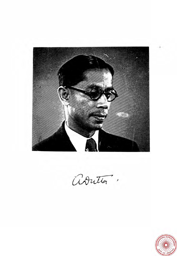

Adrittor.

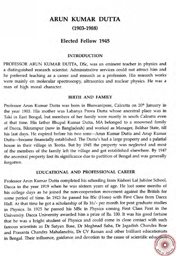# **ARUN KUMAR DUTTA (1903-1988)**

## **Elected Fellow 1945**

#### **INTRODUCTION**

PROFESSOR ARUN KUMAR DUTTA, DSc, was an eminent teacher in physics and a distinguished research scientist. Administrative services could not attract him and he preferred teaching as a career and research as a profession. His research works were mainly on molecular spectroscopy, ultrasonics and nuclear physics. He was a man of high moral character.

### **BIRTH AND FAMILY**

Professor Arun Kumar Dutta was born in Bhowanipore, Calcutta on 20<sup>th</sup> January in the year 1903. His mother was Labanya Prova Dutta whose ancestral place was in Taki in East Bengal, but members of her family were mostly in south Calcutta even at that time. His father Bhupal Kurnar Dutta, MA belonged to a renowned family of Dacca, Bikrampur (now in Bangladesh) and worked as Manager, Ballhar State, till his last days. He expired before his two sons-Arun Kumar Dutta and Arup Kumar Dutta-became financially established. The Dutta's had a large property and a palatial house in their village in Teotia. But by 1945 the property was neglected and most of the members of the family left the village and got established elsewhere. By 1947 the ancestral property lost its significance due to partition of Bengal and was generally forgotten.

#### **EDUCATIONAL AND PROFESSIONAL CAREER**

Professor Arun Kumar Dutta completed his schooling from Kishori La1 Jubilee School, Dacca in the year 1919 when he was sixteen years of age. He lost some months of his college days as he joined the non-cooperation movement against the British for some period of time. In 1923 he passed his BSc (Hons) with First Class from Dacca Hall. At that time he got a scholarship of Rs 16/- per month for post graduate studies in Physics. In 1925 he passed his MSc in Physics coming First Class First in the University. Dacca University awarded him a prize of Rs. 100. It was his good fortune that he was a bright student of Physics and could come in close contact with such famous scientists as Dr Satyen Bose, Dr Meghnad Saha, Dr Jagadish Chandra Bose and Prasanta Chandra Mahalanobis, Dr CV Raman and other brilliant educationists in Bengal. Their influence, guidance and devotion to the cause of scientific educations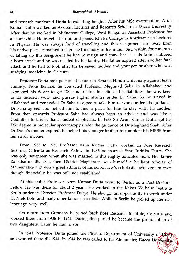#### *Biographical* Memoirs

and research motivated Dutta to exhalting heights. After his MSc examination, Arun Kumar Dutta worked as Assitant Lecturer and Research Scholar in Dacca University. After that he worked in Midnapore College, West Bengal as Assistant Professor for a short while. He travelled far off and joined Khalsa College in Amritsar as a Lecturer in Physics. He was always fond of travelling and this assignment far away from his native place, remained a cherished memory in his mind. But, within four months of taking up this assignment he had to resign and come back as his father suffered a heart attack and he was needed by his family. His father expired after another fatal attack and he had to look after his bereaved mother and younger brother who was studying medicine in Calcutta.

Professor Dutta took post of a Lecturer in Benaras Hindu University against leave vacancy. From Benaras he contacted Professor Meghnad Saha in Allahabad and expressed his desire to get DSc under him. In spite of his liabilities, he was keen to do research work and pursue higher studies under Dr Saha. So he stayed in Allahabad and persuaded Dr Saha to agree to take him to work under his guidance. Dr Saha agreed and helped him to find a place for him to stay with his mother. From then onwards Professor Saha had always been an adviser and was like a Godfather to this brilliant student of physics. In 1933 Sri **Arun** Kumar Dutta got his DSc degree in molecular spectroscopy under the guidance of Dr Meghnad Shah. After Dr Dutta's mother expired, he helped his younger brother to complete his MBBS from his small income.

From 1933 to 1936 Professor Arun Kwnar Dutta worked in Bose Research Institute, Calcutta as Research Fellow. In 1936 he married Smt. Juthika Dutta. She was only seventeen when she was married to this highly educated man. Her father Raibahadur BK Das, then District Magistrate, was himself a brilliant scholar of Mathematics and was a great admirer of his son-in law's scholastic achievement even though financially he was still not established.

At this point Professor Arun Kumar Dutta went to Berlin as a Post-Doctoral Fellow. He was there for about 2 years. He worked in the Kaiser Withelm Institute Berlin under its Director, Professor Debye. He also got an opportunity to work under Dr Niels Bohr and many other famous scientists. While in Berlin he picked up German language very well.

On return from Germany he joined back Bose Research Institute, Calcutta and worked there from 1938 to 1941. During this period he became the proud father of two daughters. Later he had a son.

In 1941 Professor Dutta joined the Physics Department of University of Bella and worked there till 1944. In 1944 he was called to his Almamater, Dacca University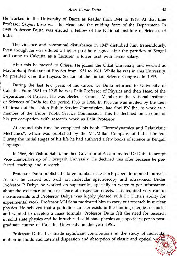He worked in the University of Dacca as Reader from 1944 to 1948. At that time Professor Satyen Bose was the Head and the guiding force of the Department. In 1945 Professor Dutta was elected a Fellow of the National Institute of Sciences of India.

The violence and communal disturbance in 1947 disturbed him tremendously. Even though he was offered a higher post he resigned after the partition of Bengal and came to Calcutta as a Lecturer, a lower post with lesser salary.

After this he moved to Orissa. He joined the Utkal University and worked as Mayurbhanj Professor of Physics from 1951 to 1961. While he was in this University, he presided over the Physics Section of the Indian Science Congress in 1959.

During the last few years of his career, Dr Dutta returned to University of Calcutta. From 1961 to 1968 he was Palit Professor of Physics and then Head of the Department of Physics. He was elected a Council Member of the National Institute of Sciences of India for the period 1963 to 1966. In 1965 he was invited by the then Chairman of the Union Public Service Commission, late Shri BN Jha, to work as a member of the Union Public Service Commission. This he declined on account of his pre-occupation with research work as Palit Professor.

At around this time he completed his book "Electrodynamics and Relativistic Mechanics", which was published by the MacMillan Company of India Limited. During the initial stages of his life he had authored a few books of science in Bengali language.

In 1966, Sri Vishnu Sahai, the then Governor of Assam invited Dr Dutta to accept Vice-Chancellorship of Dibrugarh University. He declined this offer because he preferred teaching and research.

Professor Dutta published a large number of research papers in reputed journals. At first he carried out work on molecular spectroscopy and ultrasonics. Under Professor P Debye he worked on supersonics, specially in water to get information about the existence or non-existence of dispersion effects. This required very careful measurements and Professor Debye was highly pleased with Dr Dutta's ability for experimental work. Professor MN Saha motivated him to carry out research in nuclear physics. He believed that a periodic character exists in the binding energies of nuclei and wanted to develop a mass formula. Professor Dutta felt the need for research in solid state physics and he introduced solid state physics as a special paper in postgraduate course of Calcutta University in the year 1961.

Professor Dutta has made significant contributions in the study of molecular motion in fluids and internal dispersion and absorption of elastic and optical waves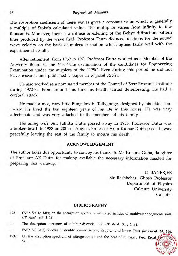The absorption coefficient of these waves gives a constant value which is generally a multiple of Stoke's calculated value. The multiplier varies from infinity to few thousands. Moreover, there is a diffuse broadening of the Debye diffraction pattern lines produced by the wave field. Professor Dutta deduced relations for the sound wave velocity on the basis of molecular motion which agrees fairly well with the experimental results.

After retirement, from 1969 to 1971 Professor Dutta worked as a Member of the Advisory Board in the Viva-Voice examination of the candidates for Engineering Examination under the auspices of the UPSC. Even during this period he did not leave research and published a paper in *Physical Review.* 

He also worked as a nominated member of the Council of Bose Research Institute during 1972-75. From around this time his health started deteriorating. He had a cerebral attack.

He made a nice, cozy little Bungalow in Tollygunge, designed by his elder sonin-law. He lived the last eighteen years of his life in this house. He was very affectionate and was very attached to the members of his family.

His ailing wife Smt Juthika Dutta passed away in 1986. Professor Dutta was a broken heart. In 1988 on 20th of August, Professor Arun Kumar Dutta passed away peacefully leaving the rest of the family to mourn his death.

#### **ACKNOWLEDGEMENT**

The author takes this opportunity to convey his thanks to Ms Krishna Guha, daughter of Professor AK Dutta for making available the necessary information needed for preparing this write-up.

> D BANERJEE Sir Rashbehari Ghosh Professor Department of Physics Calcutta University Calcutta

#### **BIBLIOGRAPHY**

- 1931 (With SAHA MN) on the absorption spectra of saturated halides of multivalent segments *gull.*  UP *Acad. Sci. 1 19.*
- The absorption spectrum of sulphur-di-oxide *Btill.* UP *Acad. Sci., 1* 88.
- (With SC DEB) Spectra of doubly ionised Argon, Krypton and Ionon Zeits. fur Physik. 67, 136.
- 1932 On the absorption spectrum of nitrogen-oxide and the heat of nitrogen, Proc. Royal 84.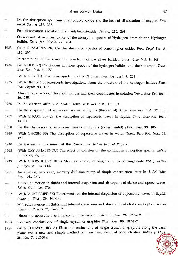- On the absorption spectrum of sulphur-tri-oxide and the heat of dissociation of oxygen, *Proc. Royal Soc. A* **137,** 336.
- Post-dissociation radiation from sulphur-tri-oxide, *Nature,* **130,** 261.
- On a quantitative investigation of the absorption spectra of Hydrogen Bromide and Hydrogen iodide, *Zeits.* **fur.** *Physik,* **77** 404.
- 1933 (With SENGUPTA PK) On the absorption spectra of some higher oxides *Proc. Royal Soc. A,*  **139,** 397.
- Interpretation of the absorption spectrum of the silver halides. *Trans. Bose Inst.* **8,** 248.
- 1934 (With DEB SC) Continuous emission spectra of the hydrogen halides and their interpet. *Trans. Bose Res. Inst.* **9,** 177.
- (With DEB SC), The false spectrum of MCI *Trans. Bose Res. lnst.* **9,** 201.
- 1935 (With DEB SC) Spectroscopic investigations about the structure of the hydrogen halides *Zeits. Fur. Physik,* **93,** 127.
- Absorption spectra of the alkali halides and their constituents in solution *Trans. Bose Res. Inst.,*  **10,** 285.
- 1936 In the electron affinity of water. *Trans. Bose Res. Inst.,* **11,** 153
- On the dispersion of supersonic waves in liquids (theoretical). *Trans. Bose Res. Inst.,* **12,** 115.
- 1937 (With GHOSH BB) On the absorption of supersonic waves in liquids. *Trans. Bose Res. Inst.,*  **13,** 31.
- 1938 On the dispersion of suporsonic waves in liquids (experimental) *Phys. Soits,* **39,** 186.
- (With GHOSH BB) The absorption of supersonic waves in water. *Trans. Bose Res. Inst.,* **14,**  1939 127,
- 1940 On the second maximum of the Rossi-curve. *Indian Jour. of Physics.*
- -1948 (With RAY AMALENDU) The effect of collision on the continuous absorption spectra. *Indian*  **J.** *Physics,* **22,** 51.
- (With CHOWDHURY BCR) Magnetic studies of single crystals of tungstenite (WS<sub>2</sub>). *Indian* 1949 1. *Phys.,* **23,** 131-143.
- An all-glass, two stage, mercury diffusion pump of simple construction letter In: *J. Sci Indus*  1951 *Res.* **10B,** 261.
- Molecular motion in fluids and internal dispersion and absorption of elastic and optical waves *Sci* & *Cult., 16,* 576.
- (With MUKHERJEE SK) Experiments on the internal dispersion of supersonic waves in liquids 1952 *Indian J. Phys.,* **26,** 161-170.
- Moletular motion in fluids and internal dispersion and absorption of elastic and optical waves *Indian J. Physics* **26,** 142-153.
- Ultrasonic absorption and relaxation mechanism. *Indian J. Phys.* **26,** 279-282. Ł.
- Electrical conductivity of single crystal of graphite *Phys. Rev.,* **90,** 187-192. 1953
- (With CHOWDHURY A) Electrical conductivity of single crystal of graphite along the basal 1954 plane and a new and simple method of measuring electrical conductivities. *Indian* 1. **28, No.** 7, 312-318.